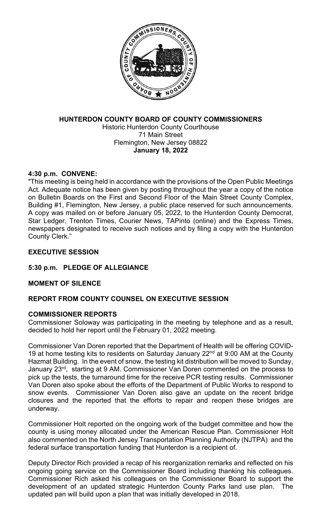

## **HUNTERDON COUNTY BOARD OF COUNTY COMMISSIONERS** Historic Hunterdon County Courthouse 71 Main Street Flemington, New Jersey 08822 **January 18, 2022**

## **4:30 p.m. CONVENE:**

"This meeting is being held in accordance with the provisions of the Open Public Meetings Act. Adequate notice has been given by posting throughout the year a copy of the notice on Bulletin Boards on the First and Second Floor of the Main Street County Complex, Building #1, Flemington, New Jersey, a public place reserved for such announcements. A copy was mailed on or before January 05, 2022, to the Hunterdon County Democrat, Star Ledger, Trenton Times, Courier News, TAPinto (online) and the Express Times, newspapers designated to receive such notices and by filing a copy with the Hunterdon County Clerk."

## **EXECUTIVE SESSION**

# **5:30 p.m. PLEDGE OF ALLEGIANCE**

## **MOMENT OF SILENCE**

# **REPORT FROM COUNTY COUNSEL ON EXECUTIVE SESSION**

## **COMMISSIONER REPORTS**

Commissioner Soloway was participating in the meeting by telephone and as a result, decided to hold her report until the February 01, 2022 meeting.

Commissioner Van Doren reported that the Department of Health will be offering COVID-19 at home testing kits to residents on Saturday January  $22<sup>nd</sup>$  at 9:00 AM at the County Hazmat Building. In the event of snow, the testing kit distribution will be moved to Sunday, January 23<sup>rd</sup>, starting at 9 AM. Commissioner Van Doren commented on the process to pick up the tests, the turnaround time for the receive PCR testing results. Commissioner Van Doren also spoke about the efforts of the Department of Public Works to respond to snow events. Commissioner Van Doren also gave an update on the recent bridge closures and the reported that the efforts to repair and reopen these bridges are underway.

Commissioner Holt reported on the ongoing work of the budget committee and how the county is using money allocated under the American Rescue Plan. Commissioner Holt also commented on the North Jersey Transportation Planning Authority (NJTPA) and the federal surface transportation funding that Hunterdon is a recipient of.

Deputy Director Rich provided a recap of his reorganization remarks and reflected on his ongoing going service on the Commissioner Board including thanking his colleagues. Commissioner Rich asked his colleagues on the Commissioner Board to support the development of an updated strategic Hunterdon County Parks land use plan. updated pan will build upon a plan that was initially developed in 2018.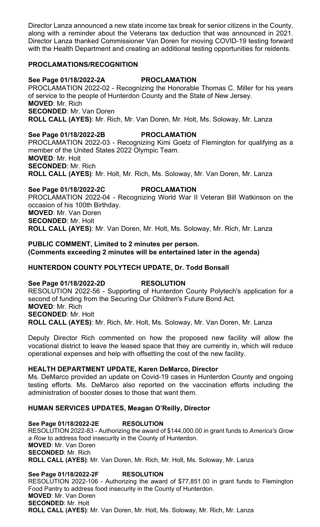Director Lanza announced a new state income tax break for senior citizens in the County, along with a reminder about the Veterans tax deduction that was announced in 2021. Director Lanza thanked Commissioner Van Doren for moving COVID-19 testing forward with the Health Department and creating an additional testing opportunities for reidents.

#### **PROCLAMATIONS/RECOGNITION**

## **See Page 01/18/2022-2A PROCLAMATION**

PROCLAMATION 2022-02 - Recognizing the Honorable Thomas C. Miller for his years of service to the people of Hunterdon County and the State of New Jersey. **MOVED**: Mr. Rich **SECONDED**: Mr. Van Doren **ROLL CALL (AYES)**: Mr. Rich, Mr. Van Doren, Mr. Holt, Ms. Soloway, Mr. Lanza

**See Page 01/18/2022-2B PROCLAMATION** PROCLAMATION 2022-03 - Recognizing Kimi Goetz of Flemington for qualifying as a member of the United States 2022 Olympic Team. **MOVED**: Mr. Holt **SECONDED**: Mr. Rich **ROLL CALL (AYES)**: Mr. Holt, Mr. Rich, Ms. Soloway, Mr. Van Doren, Mr. Lanza

**See Page 01/18/2022-2C PROCLAMATION** PROCLAMATION 2022-04 - Recognizing World War II Veteran Bill Watkinson on the occasion of his 100th Birthday. **MOVED**: Mr. Van Doren **SECONDED**: Mr. Holt **ROLL CALL (AYES)**: Mr. Van Doren, Mr. Holt, Ms. Soloway, Mr. Rich, Mr. Lanza

**PUBLIC COMMENT, Limited to 2 minutes per person. (Comments exceeding 2 minutes will be entertained later in the agenda)**

## **HUNTERDON COUNTY POLYTECH UPDATE, Dr. Todd Bonsall**

**See Page 01/18/2022-2D RESOLUTION** RESOLUTION 2022-56 - Supporting of Hunterdon County Polytech's application for a second of funding from the Securing Our Children's Future Bond Act. **MOVED**: Mr. Rich **SECONDED**: Mr. Holt **ROLL CALL (AYES)**: Mr. Rich, Mr. Holt, Ms. Soloway, Mr. Van Doren, Mr. Lanza

Deputy Director Rich commented on how the proposed new facility will allow the vocational district to leave the leased space that they are currently in, which will reduce operational expenses and help with offsetting the cost of the new facility.

#### **HEALTH DEPARTMENT UPDATE, Karen DeMarco, Director**

Ms. DeMarco provided an update on Covid-19 cases in Hunterdon County and ongoing testing efforts. Ms. DeMarco also reported on the vaccination efforts including the administration of booster doses to those that want them.

## **HUMAN SERVICES UPDATES, Meagan O'Reilly, Director**

**See Page 01/18/2022-2E RESOLUTION** RESOLUTION 2022-83 - Authorizing the award of \$144,000.00 in grant funds to *America's Grow a Row* to address food insecurity in the County of Hunterdon. **MOVED**: Mr. Van Doren **SECONDED**: Mr. Rich **ROLL CALL (AYES)**: Mr. Van Doren, Mr. Rich, Mr. Holt, Ms. Soloway, Mr. Lanza

**See Page 01/18/2022-2F RESOLUTION** RESOLUTION 2022-106 - Authorizing the award of \$77,851.00 in grant funds to Flemington Food Pantry to address food insecurity in the County of Hunterdon. **MOVED**: Mr. Van Doren **SECONDED**: Mr. Holt **ROLL CALL (AYES)**: Mr. Van Doren, Mr. Holt, Ms. Soloway, Mr. Rich, Mr. Lanza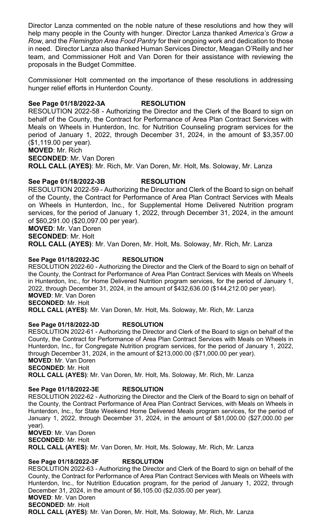Director Lanza commented on the noble nature of these resolutions and how they will help many people in the County with hunger. Director Lanza thanked *America's Grow a Row*, and the *Flemington Area Food Pantry* for their ongoing work and dedication to those in need. Director Lanza also thanked Human Services Director, Meagan O'Reilly and her team, and Commissioner Holt and Van Doren for their assistance with reviewing the proposals in the Budget Committee.

Commissioner Holt commented on the importance of these resolutions in addressing hunger relief efforts in Hunterdon County.

#### **See Page 01/18/2022-3A RESOLUTION**

RESOLUTION 2022-58 - Authorizing the Director and the Clerk of the Board to sign on behalf of the County, the Contract for Performance of Area Plan Contract Services with Meals on Wheels in Hunterdon, Inc. for Nutrition Counseling program services for the period of January 1, 2022, through December 31, 2024, in the amount of \$3,357.00 (\$1,119.00 per year).

#### **MOVED**: Mr. Rich

**SECONDED**: Mr. Van Doren

**ROLL CALL (AYES)**: Mr. Rich, Mr. Van Doren, Mr. Holt, Ms. Soloway, Mr. Lanza

#### **See Page 01/18/2022-3B RESOLUTION**

RESOLUTION 2022-59 - Authorizing the Director and Clerk of the Board to sign on behalf of the County, the Contract for Performance of Area Plan Contract Services with Meals on Wheels in Hunterdon, Inc., for Supplemental Home Delivered Nutrition program services, for the period of January 1, 2022, through December 31, 2024, in the amount of \$60,291.00 (\$20,097.00 per year).

**MOVED**: Mr. Van Doren

**SECONDED**: Mr. Holt

**ROLL CALL (AYES)**: Mr. Van Doren, Mr. Holt, Ms. Soloway, Mr. Rich, Mr. Lanza

#### **See Page 01/18/2022-3C RESOLUTION**

RESOLUTION 2022-60 - Authorizing the Director and the Clerk of the Board to sign on behalf of the County, the Contract for Performance of Area Plan Contract Services with Meals on Wheels in Hunterdon, Inc., for Home Delivered Nutrition program services, for the period of January 1, 2022, through December 31, 2024, in the amount of \$432,636.00 (\$144,212.00 per year). **MOVED**: Mr. Van Doren

**SECONDED**: Mr. Holt

**ROLL CALL (AYES)**: Mr. Van Doren, Mr. Holt, Ms. Soloway, Mr. Rich, Mr. Lanza

#### **See Page 01/18/2022-3D RESOLUTION**

RESOLUTION 2022-61 - Authorizing the Director and Clerk of the Board to sign on behalf of the County, the Contract for Performance of Area Plan Contract Services with Meals on Wheels in Hunterdon, Inc., for Congregate Nutrition program services, for the period of January 1, 2022, through December 31, 2024, in the amount of \$213,000.00 (\$71,000.00 per year). **MOVED**: Mr. Van Doren

**SECONDED**: Mr. Holt

**ROLL CALL (AYES)**: Mr. Van Doren, Mr. Holt, Ms. Soloway, Mr. Rich, Mr. Lanza

#### **See Page 01/18/2022-3E RESOLUTION**

RESOLUTION 2022-62 - Authorizing the Director and the Clerk of the Board to sign on behalf of the County, the Contract Performance of Area Plan Contract Services, with Meals on Wheels in Hunterdon, Inc., for State Weekend Home Delivered Meals program services, for the period of January 1, 2022, through December 31, 2024, in the amount of \$81,000.00 (\$27,000.00 per year).

**MOVED**: Mr. Van Doren **SECONDED**: Mr. Holt

**ROLL CALL (AYES)**: Mr. Van Doren, Mr. Holt, Ms. Soloway, Mr. Rich, Mr. Lanza

#### **See Page 01/18/2022-3F RESOLUTION**

RESOLUTION 2022-63 - Authorizing the Director and Clerk of the Board to sign on behalf of the County, the Contract for Performance of Area Plan Contract Services with Meals on Wheels with Hunterdon, Inc., for Nutrition Education program, for the period of January 1, 2022, through December 31, 2024, in the amount of \$6,105.00 (\$2,035.00 per year). **MOVED**: Mr. Van Doren **SECONDED**: Mr. Holt **ROLL CALL (AYES)**: Mr. Van Doren, Mr. Holt, Ms. Soloway, Mr. Rich, Mr. Lanza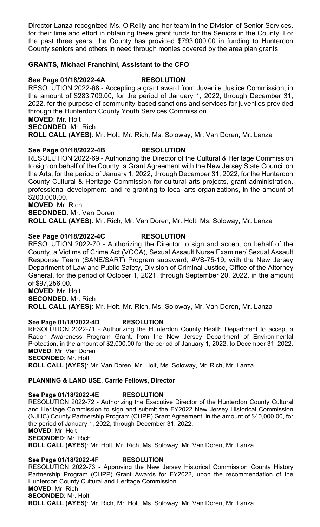Director Lanza recognized Ms. O'Reilly and her team in the Division of Senior Services, for their time and effort in obtaining these grant funds for the Seniors in the County. For the past three years, the County has provided \$793,000.00 in funding to Hunterdon County seniors and others in need through monies covered by the area plan grants.

## **GRANTS, Michael Franchini, Assistant to the CFO**

#### **See Page 01/18/2022-4A RESOLUTION**

RESOLUTION 2022-68 - Accepting a grant award from Juvenile Justice Commission, in the amount of \$283,709.00, for the period of January 1, 2022, through December 31, 2022, for the purpose of community-based sanctions and services for juveniles provided through the Hunterdon County Youth Services Commission.

**MOVED**: Mr. Holt

**SECONDED**: Mr. Rich

**ROLL CALL (AYES)**: Mr. Holt, Mr. Rich, Ms. Soloway, Mr. Van Doren, Mr. Lanza

## **See Page 01/18/2022-4B RESOLUTION**

RESOLUTION 2022-69 - Authorizing the Director of the Cultural & Heritage Commission to sign on behalf of the County, a Grant Agreement with the New Jersey State Council on the Arts, for the period of January 1, 2022, through December 31, 2022, for the Hunterdon County Cultural & Heritage Commission for cultural arts projects, grant administration, professional development, and re-granting to local arts organizations, in the amount of \$200,000.00.

**MOVED**: Mr. Rich **SECONDED**: Mr. Van Doren **ROLL CALL (AYES)**: Mr. Rich, Mr. Van Doren, Mr. Holt, Ms. Soloway, Mr. Lanza

## **See Page 01/18/2022-4C RESOLUTION**

RESOLUTION 2022-70 - Authorizing the Director to sign and accept on behalf of the County, a Victims of Crime Act (VOCA), Sexual Assault Nurse Examiner/ Sexual Assault Response Team (SANE/SART) Program subaward, #VS-75-19, with the New Jersey Department of Law and Public Safety, Division of Criminal Justice, Office of the Attorney General, for the period of October 1, 2021, through September 20, 2022, in the amount of \$97,256.00.

**MOVED**: Mr. Holt **SECONDED**: Mr. Rich **ROLL CALL (AYES)**: Mr. Holt, Mr. Rich, Ms. Soloway, Mr. Van Doren, Mr. Lanza

# **See Page 01/18/2022-4D RESOLUTION**

RESOLUTION 2022-71 - Authorizing the Hunterdon County Health Department to accept a Radon Awareness Program Grant, from the New Jersey Department of Environmental Protection, in the amount of \$2,000.00 for the period of January 1, 2022, to December 31, 2022. **MOVED**: Mr. Van Doren **SECONDED**: Mr. Holt

**ROLL CALL (AYES)**: Mr. Van Doren, Mr. Holt, Ms. Soloway, Mr. Rich, Mr. Lanza

## **PLANNING & LAND USE, Carrie Fellows, Director**

**See Page 01/18/2022-4E RESOLUTION** RESOLUTION 2022-72 - Authorizing the Executive Director of the Hunterdon County Cultural and Heritage Commission to sign and submit the FY2022 New Jersey Historical Commission (NJHC) County Partnership Program (CHPP) Grant Agreement, in the amount of \$40,000.00, for the period of January 1, 2022, through December 31, 2022. **MOVED**: Mr. Holt **SECONDED**: Mr. Rich **ROLL CALL (AYES)**: Mr. Holt, Mr. Rich, Ms. Soloway, Mr. Van Doren, Mr. Lanza **See Page 01/18/2022-4F RESOLUTION**

RESOLUTION 2022-73 - Approving the New Jersey Historical Commission County History Partnership Program (CHPP) Grant Awards for FY2022, upon the recommendation of the Hunterdon County Cultural and Heritage Commission. **MOVED**: Mr. Rich **SECONDED**: Mr. Holt **ROLL CALL (AYES)**: Mr. Rich, Mr. Holt, Ms. Soloway, Mr. Van Doren, Mr. Lanza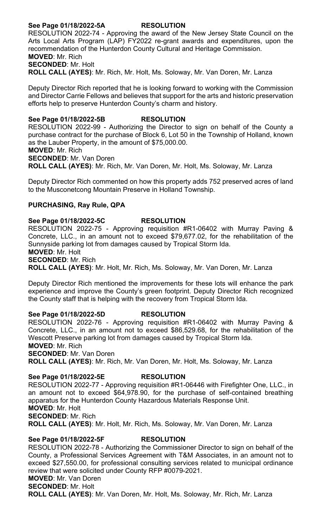## **See Page 01/18/2022-5A RESOLUTION**

RESOLUTION 2022-74 - Approving the award of the New Jersey State Council on the Arts Local Arts Program (LAP) FY2022 re-grant awards and expenditures, upon the recommendation of the Hunterdon County Cultural and Heritage Commission. **MOVED**: Mr. Rich **SECONDED**: Mr. Holt

**ROLL CALL (AYES)**: Mr. Rich, Mr. Holt, Ms. Soloway, Mr. Van Doren, Mr. Lanza

Deputy Director Rich reported that he is looking forward to working with the Commission and Director Carrie Fellows and believes that support for the arts and historic preservation efforts help to preserve Hunterdon County's charm and history.

#### **See Page 01/18/2022-5B RESOLUTION**

RESOLUTION 2022-99 - Authorizing the Director to sign on behalf of the County a purchase contract for the purchase of Block 6, Lot 50 in the Township of Holland, known as the Lauber Property, in the amount of \$75,000.00.

**MOVED**: Mr. Rich

**SECONDED**: Mr. Van Doren

**ROLL CALL (AYES)**: Mr. Rich, Mr. Van Doren, Mr. Holt, Ms. Soloway, Mr. Lanza

Deputy Director Rich commented on how this property adds 752 preserved acres of land to the Musconetcong Mountain Preserve in Holland Township.

#### **PURCHASING, Ray Rule, QPA**

#### **See Page 01/18/2022-5C RESOLUTION**

RESOLUTION 2022-75 - Approving requisition #R1-06402 with Murray Paving & Concrete, LLC., in an amount not to exceed \$79,677.02, for the rehabilitation of the Sunnyside parking lot from damages caused by Tropical Storm Ida.

**MOVED**: Mr. Holt

**SECONDED**: Mr. Rich

**ROLL CALL (AYES)**: Mr. Holt, Mr. Rich, Ms. Soloway, Mr. Van Doren, Mr. Lanza

Deputy Director Rich mentioned the improvements for these lots will enhance the park experience and improve the County's green footprint. Deputy Director Rich recognized the County staff that is helping with the recovery from Tropical Storm Ida.

#### **See Page 01/18/2022-5D RESOLUTION**

RESOLUTION 2022-76 - Approving requisition #R1-06402 with Murray Paving & Concrete, LLC., in an amount not to exceed \$86,529.68, for the rehabilitation of the Wescott Preserve parking lot from damages caused by Tropical Storm Ida. **MOVED**: Mr. Rich

**SECONDED**: Mr. Van Doren **ROLL CALL (AYES)**: Mr. Rich, Mr. Van Doren, Mr. Holt, Ms. Soloway, Mr. Lanza

#### **See Page 01/18/2022-5E RESOLUTION**

RESOLUTION 2022-77 - Approving requisition #R1-06446 with Firefighter One, LLC., in an amount not to exceed \$64,978.90, for the purchase of self-contained breathing apparatus for the Hunterdon County Hazardous Materials Response Unit. **MOVED**: Mr. Holt **SECONDED**: Mr. Rich **ROLL CALL (AYES)**: Mr. Holt, Mr. Rich, Ms. Soloway, Mr. Van Doren, Mr. Lanza

# **See Page 01/18/2022-5F RESOLUTION**

RESOLUTION 2022-78 - Authorizing the Commissioner Director to sign on behalf of the County, a Professional Services Agreement with T&M Associates, in an amount not to exceed \$27,550.00, for professional consulting services related to municipal ordinance review that were solicited under County RFP #0079-2021.

# **MOVED**: Mr. Van Doren

**SECONDED**: Mr. Holt

**ROLL CALL (AYES)**: Mr. Van Doren, Mr. Holt, Ms. Soloway, Mr. Rich, Mr. Lanza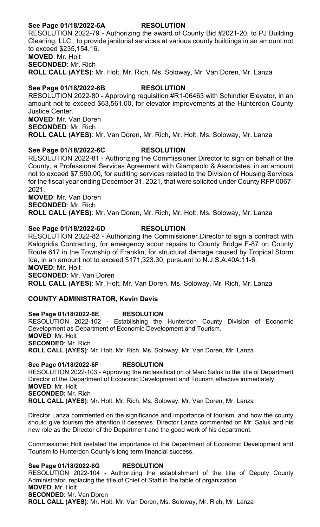## **See Page 01/18/2022-6A RESOLUTION**

RESOLUTION 2022-79 - Authorizing the award of County Bid #2021-20, to PJ Building Cleaning, LLC., to provide janitorial services at various county buildings in an amount not to exceed \$235,154.16. **MOVED**: Mr. Holt **SECONDED**: Mr. Rich **ROLL CALL (AYES)**: Mr. Holt, Mr. Rich, Ms. Soloway, Mr. Van Doren, Mr. Lanza

#### **See Page 01/18/2022-6B RESOLUTION**

RESOLUTION 2022-80 - Approving requisition #R1-06463 with Schindler Elevator, in an amount not to exceed \$63,561.00, for elevator improvements at the Hunterdon County Justice Center. **MOVED**: Mr. Van Doren **SECONDED**: Mr. Rich **ROLL CALL (AYES)**: Mr. Van Doren, Mr. Rich, Mr. Holt, Ms. Soloway, Mr. Lanza

## **See Page 01/18/2022-6C RESOLUTION**

RESOLUTION 2022-81 - Authorizing the Commissioner Director to sign on behalf of the County, a Professional Services Agreement with Giampaolo & Associates, in an amount not to exceed \$7,590.00, for auditing services related to the Division of Housing Services for the fiscal year ending December 31, 2021, that were solicited under County RFP 0067- 2021.

**MOVED**: Mr. Van Doren **SECONDED**: Mr. Rich

**ROLL CALL (AYES)**: Mr. Van Doren, Mr. Rich, Mr. Holt, Ms. Soloway, Mr. Lanza

## **See Page 01/18/2022-6D RESOLUTION**

RESOLUTION 2022-82 - Authorizing the Commissioner Director to sign a contract with Kalogridis Contracting, for emergency scour repairs to County Bridge F-87 on County Route 617 in the Township of Franklin, for structural damage caused by Tropical Storm Ida, in an amount not to exceed \$171,323.30, pursuant to N.J.S.A.40A:11-6. **MOVED**: Mr. Holt **SECONDED**: Mr. Van Doren

**ROLL CALL (AYES)**: Mr. Holt, Mr. Van Doren, Ms. Soloway, Mr. Rich, Mr. Lanza

## **COUNTY ADMINISTRATOR, Kevin Davis**

**See Page 01/18/2022-6E RESOLUTION** RESOLUTION 2022-102 - Establishing the Hunterdon County Division of Economic Development as Department of Economic Development and Tourism. **MOVED**: Mr. Holt **SECONDED**: Mr. Rich **ROLL CALL (AYES)**: Mr. Holt, Mr. Rich, Ms. Soloway, Mr. Van Doren, Mr. Lanza

**See Page 01/18/2022-6F RESOLUTION** RESOLUTION 2022-103 - Approving the reclassification of Marc Saluk to the title of Department Director of the Department of Economic Development and Tourism effective immediately. **MOVED**: Mr. Holt **SECONDED**: Mr. Rich **ROLL CALL (AYES)**: Mr. Holt, Mr. Rich, Ms. Soloway, Mr. Van Doren, Mr. Lanza

Director Lanza commented on the significance and importance of tourism, and how the county should give tourism the attention it deserves. Director Lanza commented on Mr. Saluk and his new role as the Director of the Department and the good work of his department.

Commissioner Holt restated the importance of the Department of Economic Development and Tourism to Hunterdon County's long term financial success.

#### **See Page 01/18/2022-6G RESOLUTION**

RESOLUTION 2022-104 - Authorizing the establishment of the title of Deputy County Administrator, replacing the title of Chief of Staff in the table of organization. **MOVED**: Mr. Holt **SECONDED**: Mr. Van Doren **ROLL CALL (AYES)**: Mr. Holt, Mr. Van Doren, Ms. Soloway, Mr. Rich, Mr. Lanza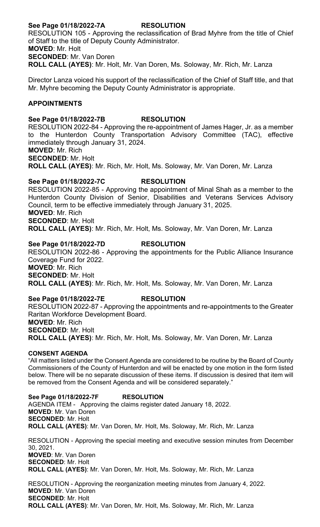# **See Page 01/18/2022-7A RESOLUTION** RESOLUTION 105 - Approving the reclassification of Brad Myhre from the title of Chief of Staff to the title of Deputy County Administrator. **MOVED**: Mr. Holt

**SECONDED**: Mr. Van Doren **ROLL CALL (AYES)**: Mr. Holt, Mr. Van Doren, Ms. Soloway, Mr. Rich, Mr. Lanza

Director Lanza voiced his support of the reclassification of the Chief of Staff title, and that Mr. Myhre becoming the Deputy County Administrator is appropriate.

#### **APPOINTMENTS**

## **See Page 01/18/2022-7B RESOLUTION**

RESOLUTION 2022-84 - Approving the re-appointment of James Hager, Jr. as a member to the Hunterdon County Transportation Advisory Committee (TAC), effective immediately through January 31, 2024.

**MOVED**: Mr. Rich

**SECONDED**: Mr. Holt

**ROLL CALL (AYES)**: Mr. Rich, Mr. Holt, Ms. Soloway, Mr. Van Doren, Mr. Lanza

## **See Page 01/18/2022-7C RESOLUTION**

RESOLUTION 2022-85 - Approving the appointment of Minal Shah as a member to the Hunterdon County Division of Senior, Disabilities and Veterans Services Advisory Council, term to be effective immediately through January 31, 2025. **MOVED**: Mr. Rich **SECONDED**: Mr. Holt

**ROLL CALL (AYES)**: Mr. Rich, Mr. Holt, Ms. Soloway, Mr. Van Doren, Mr. Lanza

## **See Page 01/18/2022-7D RESOLUTION**

RESOLUTION 2022-86 - Approving the appointments for the Public Alliance Insurance Coverage Fund for 2022. **MOVED**: Mr. Rich **SECONDED**: Mr. Holt

**ROLL CALL (AYES)**: Mr. Rich, Mr. Holt, Ms. Soloway, Mr. Van Doren, Mr. Lanza

# **See Page 01/18/2022-7E RESOLUTION**

RESOLUTION 2022-87 - Approving the appointments and re-appointments to the Greater Raritan Workforce Development Board. **MOVED**: Mr. Rich **SECONDED**: Mr. Holt **ROLL CALL (AYES)**: Mr. Rich, Mr. Holt, Ms. Soloway, Mr. Van Doren, Mr. Lanza

#### **CONSENT AGENDA**

"All matters listed under the Consent Agenda are considered to be routine by the Board of County Commissioners of the County of Hunterdon and will be enacted by one motion in the form listed below. There will be no separate discussion of these items. If discussion is desired that item will be removed from the Consent Agenda and will be considered separately."

**See Page 01/18/2022-7F RESOLUTION** AGENDA ITEM - Approving the claims register dated January 18, 2022. **MOVED**: Mr. Van Doren **SECONDED**: Mr. Holt **ROLL CALL (AYES)**: Mr. Van Doren, Mr. Holt, Ms. Soloway, Mr. Rich, Mr. Lanza

RESOLUTION - Approving the special meeting and executive session minutes from December 30, 2021. **MOVED**: Mr. Van Doren **SECONDED**: Mr. Holt **ROLL CALL (AYES)**: Mr. Van Doren, Mr. Holt, Ms. Soloway, Mr. Rich, Mr. Lanza

RESOLUTION - Approving the reorganization meeting minutes from January 4, 2022. **MOVED**: Mr. Van Doren **SECONDED**: Mr. Holt **ROLL CALL (AYES)**: Mr. Van Doren, Mr. Holt, Ms. Soloway, Mr. Rich, Mr. Lanza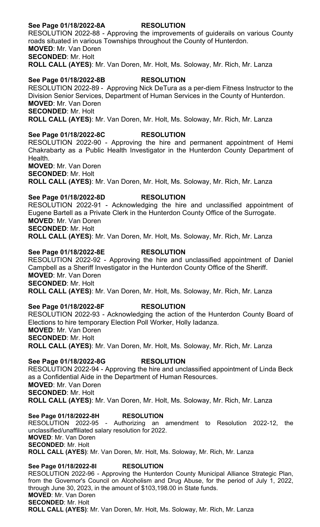#### **See Page 01/18/2022-8A RESOLUTION**

RESOLUTION 2022-88 - Approving the improvements of guiderails on various County roads situated in various Townships throughout the County of Hunterdon. **MOVED**: Mr. Van Doren **SECONDED**: Mr. Holt **ROLL CALL (AYES)**: Mr. Van Doren, Mr. Holt, Ms. Soloway, Mr. Rich, Mr. Lanza

#### **See Page 01/18/2022-8B RESOLUTION**

RESOLUTION 2022-89 - Approving Nick DeTura as a per-diem Fitness Instructor to the Division Senior Services, Department of Human Services in the County of Hunterdon. **MOVED**: Mr. Van Doren **SECONDED**: Mr. Holt **ROLL CALL (AYES)**: Mr. Van Doren, Mr. Holt, Ms. Soloway, Mr. Rich, Mr. Lanza

## **See Page 01/18/2022-8C RESOLUTION**

RESOLUTION 2022-90 - Approving the hire and permanent appointment of Hemi Chakrabarty as a Public Health Investigator in the Hunterdon County Department of Health.

**MOVED**: Mr. Van Doren **SECONDED**: Mr. Holt

**ROLL CALL (AYES)**: Mr. Van Doren, Mr. Holt, Ms. Soloway, Mr. Rich, Mr. Lanza

**See Page 01/18/2022-8D RESOLUTION** RESOLUTION 2022-91 - Acknowledging the hire and unclassified appointment of Eugene Bartell as a Private Clerk in the Hunterdon County Office of the Surrogate. **MOVED**: Mr. Van Doren **SECONDED**: Mr. Holt **ROLL CALL (AYES)**: Mr. Van Doren, Mr. Holt, Ms. Soloway, Mr. Rich, Mr. Lanza

#### **See Page 01/18/2022-8E RESOLUTION**

RESOLUTION 2022-92 - Approving the hire and unclassified appointment of Daniel Campbell as a Sheriff Investigator in the Hunterdon County Office of the Sheriff. **MOVED**: Mr. Van Doren **SECONDED**: Mr. Holt **ROLL CALL (AYES)**: Mr. Van Doren, Mr. Holt, Ms. Soloway, Mr. Rich, Mr. Lanza

# **See Page 01/18/2022-8F RESOLUTION**

RESOLUTION 2022-93 - Acknowledging the action of the Hunterdon County Board of Elections to hire temporary Election Poll Worker, Holly Iadanza. **MOVED**: Mr. Van Doren **SECONDED**: Mr. Holt **ROLL CALL (AYES)**: Mr. Van Doren, Mr. Holt, Ms. Soloway, Mr. Rich, Mr. Lanza

**See Page 01/18/2022-8G RESOLUTION** RESOLUTION 2022-94 - Approving the hire and unclassified appointment of Linda Beck as a Confidential Aide in the Department of Human Resources. **MOVED**: Mr. Van Doren **SECONDED**: Mr. Holt **ROLL CALL (AYES)**: Mr. Van Doren, Mr. Holt, Ms. Soloway, Mr. Rich, Mr. Lanza

**See Page 01/18/2022-8H RESOLUTION** RESOLUTION 2022-95 - Authorizing an amendment to Resolution 2022-12, the unclassified/unaffiliated salary resolution for 2022. **MOVED**: Mr. Van Doren **SECONDED**: Mr. Holt **ROLL CALL (AYES)**: Mr. Van Doren, Mr. Holt, Ms. Soloway, Mr. Rich, Mr. Lanza

**See Page 01/18/2022-8I RESOLUTION** RESOLUTION 2022-96 - Approving the Hunterdon County Municipal Alliance Strategic Plan, from the Governor's Council on Alcoholism and Drug Abuse, for the period of July 1, 2022, through June 30, 2023, in the amount of \$103,198.00 in State funds. **MOVED**: Mr. Van Doren **SECONDED**: Mr. Holt **ROLL CALL (AYES)**: Mr. Van Doren, Mr. Holt, Ms. Soloway, Mr. Rich, Mr. Lanza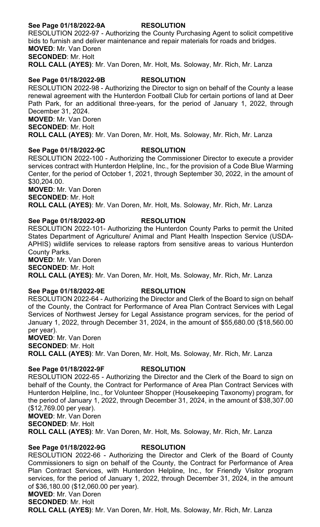## **See Page 01/18/2022-9A RESOLUTION**

RESOLUTION 2022-97 - Authorizing the County Purchasing Agent to solicit competitive bids to furnish and deliver maintenance and repair materials for roads and bridges. **MOVED**: Mr. Van Doren **SECONDED**: Mr. Holt **ROLL CALL (AYES)**: Mr. Van Doren, Mr. Holt, Ms. Soloway, Mr. Rich, Mr. Lanza

## **See Page 01/18/2022-9B RESOLUTION**

RESOLUTION 2022-98 - Authorizing the Director to sign on behalf of the County a lease renewal agreement with the Hunterdon Football Club for certain portions of land at Deer Path Park, for an additional three-years, for the period of January 1, 2022, through December 31, 2024. **MOVED**: Mr. Van Doren **SECONDED**: Mr. Holt **ROLL CALL (AYES)**: Mr. Van Doren, Mr. Holt, Ms. Soloway, Mr. Rich, Mr. Lanza

## **See Page 01/18/2022-9C RESOLUTION**

RESOLUTION 2022-100 - Authorizing the Commissioner Director to execute a provider services contract with Hunterdon Helpline, Inc., for the provision of a Code Blue Warming Center, for the period of October 1, 2021, through September 30, 2022, in the amount of \$30,204.00.

**MOVED**: Mr. Van Doren **SECONDED**: Mr. Holt

**ROLL CALL (AYES)**: Mr. Van Doren, Mr. Holt, Ms. Soloway, Mr. Rich, Mr. Lanza

#### **See Page 01/18/2022-9D RESOLUTION**

RESOLUTION 2022-101- Authorizing the Hunterdon County Parks to permit the United States Department of Agriculture/ Animal and Plant Health Inspection Service (USDA-APHIS) wildlife services to release raptors from sensitive areas to various Hunterdon County Parks.

**MOVED**: Mr. Van Doren **SECONDED**: Mr. Holt **ROLL CALL (AYES)**: Mr. Van Doren, Mr. Holt, Ms. Soloway, Mr. Rich, Mr. Lanza

## **See Page 01/18/2022-9E RESOLUTION**

RESOLUTION 2022-64 - Authorizing the Director and Clerk of the Board to sign on behalf of the County, the Contract for Performance of Area Plan Contract Services with Legal Services of Northwest Jersey for Legal Assistance program services, for the period of January 1, 2022, through December 31, 2024, in the amount of \$55,680.00 (\$18,560.00 per year).

**MOVED**: Mr. Van Doren **SECONDED**: Mr. Holt **ROLL CALL (AYES)**: Mr. Van Doren, Mr. Holt, Ms. Soloway, Mr. Rich, Mr. Lanza

# **See Page 01/18/2022-9F RESOLUTION**

RESOLUTION 2022-65 - Authorizing the Director and the Clerk of the Board to sign on behalf of the County, the Contract for Performance of Area Plan Contract Services with Hunterdon Helpline, Inc., for Volunteer Shopper (Housekeeping Taxonomy) program, for the period of January 1, 2022, through December 31, 2024, in the amount of \$38,307.00 (\$12,769.00 per year).

**MOVED**: Mr. Van Doren

**SECONDED**: Mr. Holt

**ROLL CALL (AYES)**: Mr. Van Doren, Mr. Holt, Ms. Soloway, Mr. Rich, Mr. Lanza

## **See Page 01/18/2022-9G RESOLUTION**

RESOLUTION 2022-66 - Authorizing the Director and Clerk of the Board of County Commissioners to sign on behalf of the County, the Contract for Performance of Area Plan Contract Services, with Hunterdon Helpline, Inc., for Friendly Visitor program services, for the period of January 1, 2022, through December 31, 2024, in the amount of \$36,180.00 (\$12,060.00 per year).

**MOVED**: Mr. Van Doren **SECONDED**: Mr. Holt

**ROLL CALL (AYES)**: Mr. Van Doren, Mr. Holt, Ms. Soloway, Mr. Rich, Mr. Lanza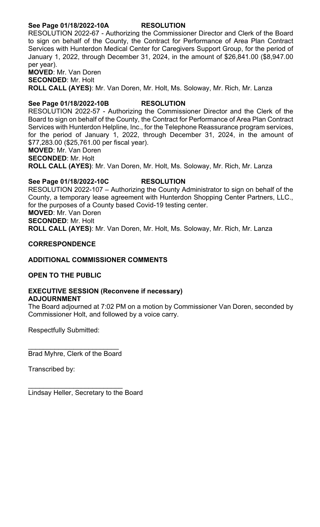## **See Page 01/18/2022-10A RESOLUTION**

RESOLUTION 2022-67 - Authorizing the Commissioner Director and Clerk of the Board to sign on behalf of the County, the Contract for Performance of Area Plan Contract Services with Hunterdon Medical Center for Caregivers Support Group, for the period of January 1, 2022, through December 31, 2024, in the amount of \$26,841.00 (\$8,947.00 per year).

**MOVED**: Mr. Van Doren **SECONDED**: Mr. Holt **ROLL CALL (AYES)**: Mr. Van Doren, Mr. Holt, Ms. Soloway, Mr. Rich, Mr. Lanza

## **See Page 01/18/2022-10B RESOLUTION**

RESOLUTION 2022-57 - Authorizing the Commissioner Director and the Clerk of the Board to sign on behalf of the County, the Contract for Performance of Area Plan Contract Services with Hunterdon Helpline, Inc., for the Telephone Reassurance program services, for the period of January 1, 2022, through December 31, 2024, in the amount of \$77,283.00 (\$25,761.00 per fiscal year). **MOVED**: Mr. Van Doren

**SECONDED**: Mr. Holt

**ROLL CALL (AYES)**: Mr. Van Doren, Mr. Holt, Ms. Soloway, Mr. Rich, Mr. Lanza

## **See Page 01/18/2022-10C RESOLUTION**

RESOLUTION 2022-107 – Authorizing the County Administrator to sign on behalf of the County, a temporary lease agreement with Hunterdon Shopping Center Partners, LLC., for the purposes of a County based Covid-19 testing center. **MOVED**: Mr. Van Doren **SECONDED**: Mr. Holt **ROLL CALL (AYES)**: Mr. Van Doren, Mr. Holt, Ms. Soloway, Mr. Rich, Mr. Lanza

#### **CORRESPONDENCE**

#### **ADDITIONAL COMMISSIONER COMMENTS**

## **OPEN TO THE PUBLIC**

#### **EXECUTIVE SESSION (Reconvene if necessary) ADJOURNMENT**

The Board adjourned at 7:02 PM on a motion by Commissioner Van Doren, seconded by Commissioner Holt, and followed by a voice carry.

Respectfully Submitted:

\_\_\_\_\_\_\_\_\_\_\_\_\_\_\_\_\_\_\_\_\_\_\_\_ Brad Myhre, Clerk of the Board

Transcribed by:

\_\_\_\_\_\_\_\_\_\_\_\_\_\_\_\_\_\_\_\_\_\_\_\_\_ Lindsay Heller, Secretary to the Board